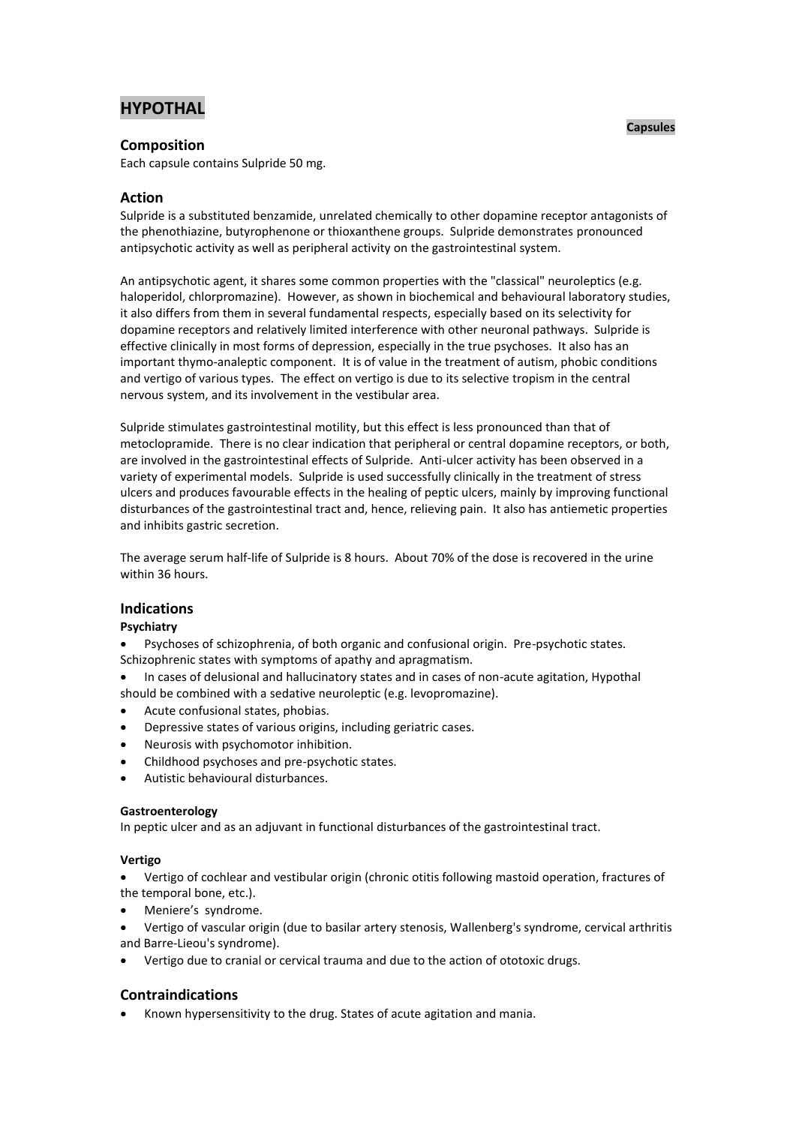# **HYPOTHAL**

### **Composition**

Each capsule contains Sulpride 50 mg.

## **Action**

Sulpride is a substituted benzamide, unrelated chemically to other dopamine receptor antagonists of the phenothiazine, butyrophenone or thioxanthene groups. Sulpride demonstrates pronounced antipsychotic activity as well as peripheral activity on the gastrointestinal system.

An antipsychotic agent, it shares some common properties with the "classical" neuroleptics (e.g. haloperidol, chlorpromazine). However, as shown in biochemical and behavioural laboratory studies, it also differs from them in several fundamental respects, especially based on its selectivity for dopamine receptors and relatively limited interference with other neuronal pathways. Sulpride is effective clinically in most forms of depression, especially in the true psychoses. It also has an important thymo-analeptic component. It is of value in the treatment of autism, phobic conditions and vertigo of various types. The effect on vertigo is due to its selective tropism in the central nervous system, and its involvement in the vestibular area.

Sulpride stimulates gastrointestinal motility, but this effect is less pronounced than that of metoclopramide. There is no clear indication that peripheral or central dopamine receptors, or both, are involved in the gastrointestinal effects of Sulpride. Anti-ulcer activity has been observed in a variety of experimental models. Sulpride is used successfully clinically in the treatment of stress ulcers and produces favourable effects in the healing of peptic ulcers, mainly by improving functional disturbances of the gastrointestinal tract and, hence, relieving pain. It also has antiemetic properties and inhibits gastric secretion.

The average serum half-life of Sulpride is 8 hours. About 70% of the dose is recovered in the urine within 36 hours.

## **Indications**

### **Psychiatry**

 Psychoses of schizophrenia, of both organic and confusional origin. Pre-psychotic states. Schizophrenic states with symptoms of apathy and apragmatism.

- In cases of delusional and hallucinatory states and in cases of non-acute agitation, Hypothal should be combined with a sedative neuroleptic (e.g. levopromazine).
- Acute confusional states, phobias.
- Depressive states of various origins, including geriatric cases.
- Neurosis with psychomotor inhibition.
- Childhood psychoses and pre-psychotic states.
- Autistic behavioural disturbances.

### **Gastroenterology**

In peptic ulcer and as an adjuvant in functional disturbances of the gastrointestinal tract.

### **Vertigo**

 Vertigo of cochlear and vestibular origin (chronic otitis following mastoid operation, fractures of the temporal bone, etc.).

- Meniere's syndrome.
- Vertigo of vascular origin (due to basilar artery stenosis, Wallenberg's syndrome, cervical arthritis and Barre-Lieou's syndrome).
- Vertigo due to cranial or cervical trauma and due to the action of ototoxic drugs.

# **Contraindications**

Known hypersensitivity to the drug. States of acute agitation and mania.